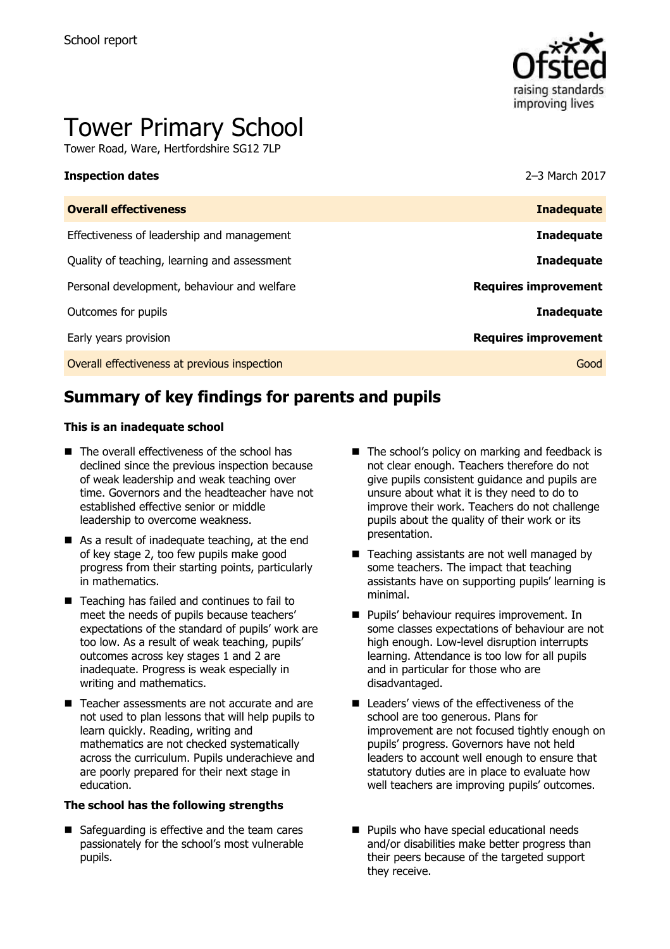

# Tower Primary School

Tower Road, Ware, Hertfordshire SG12 7LP

### **Inspection dates** 2–3 March 2017

| <b>Inadequate</b>           |
|-----------------------------|
| <b>Inadequate</b>           |
| <b>Inadequate</b>           |
| <b>Requires improvement</b> |
| <b>Inadequate</b>           |
| <b>Requires improvement</b> |
| Good                        |
|                             |

# **Summary of key findings for parents and pupils**

### **This is an inadequate school**

- The overall effectiveness of the school has declined since the previous inspection because of weak leadership and weak teaching over time. Governors and the headteacher have not established effective senior or middle leadership to overcome weakness.
- As a result of inadequate teaching, at the end of key stage 2, too few pupils make good progress from their starting points, particularly in mathematics.
- Teaching has failed and continues to fail to meet the needs of pupils because teachers' expectations of the standard of pupils' work are too low. As a result of weak teaching, pupils' outcomes across key stages 1 and 2 are inadequate. Progress is weak especially in writing and mathematics.
- Teacher assessments are not accurate and are not used to plan lessons that will help pupils to learn quickly. Reading, writing and mathematics are not checked systematically across the curriculum. Pupils underachieve and are poorly prepared for their next stage in education.

### **The school has the following strengths**

■ Safeguarding is effective and the team cares passionately for the school's most vulnerable pupils.

- The school's policy on marking and feedback is not clear enough. Teachers therefore do not give pupils consistent guidance and pupils are unsure about what it is they need to do to improve their work. Teachers do not challenge pupils about the quality of their work or its presentation.
- Teaching assistants are not well managed by some teachers. The impact that teaching assistants have on supporting pupils' learning is minimal.
- **Pupils' behaviour requires improvement. In** some classes expectations of behaviour are not high enough. Low-level disruption interrupts learning. Attendance is too low for all pupils and in particular for those who are disadvantaged.
- Leaders' views of the effectiveness of the school are too generous. Plans for improvement are not focused tightly enough on pupils' progress. Governors have not held leaders to account well enough to ensure that statutory duties are in place to evaluate how well teachers are improving pupils' outcomes.
- **Pupils who have special educational needs** and/or disabilities make better progress than their peers because of the targeted support they receive.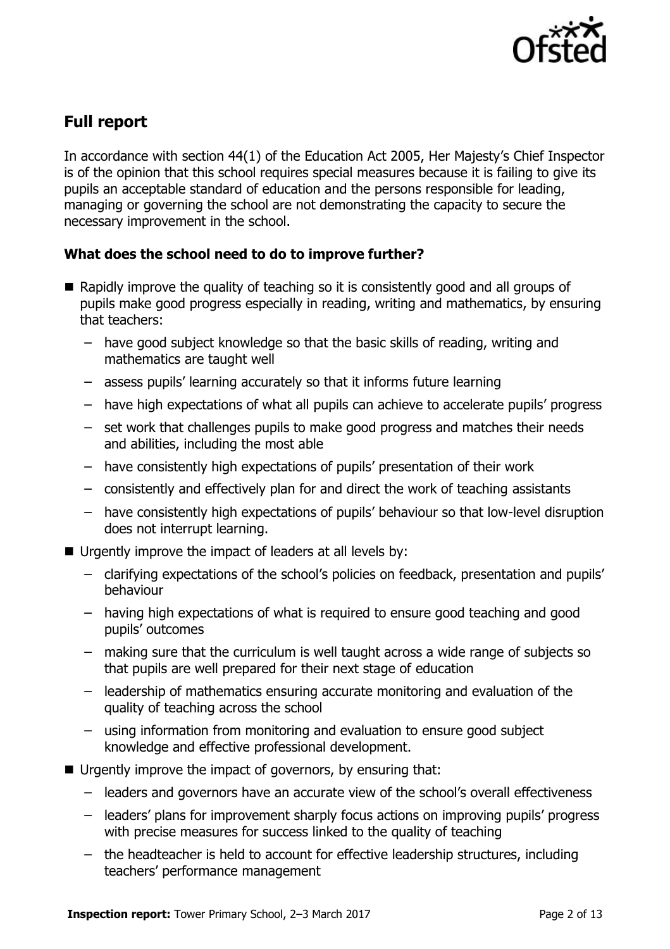

# **Full report**

In accordance with section 44(1) of the Education Act 2005, Her Majesty's Chief Inspector is of the opinion that this school requires special measures because it is failing to give its pupils an acceptable standard of education and the persons responsible for leading, managing or governing the school are not demonstrating the capacity to secure the necessary improvement in the school.

### **What does the school need to do to improve further?**

- Rapidly improve the quality of teaching so it is consistently good and all groups of pupils make good progress especially in reading, writing and mathematics, by ensuring that teachers:
	- have good subject knowledge so that the basic skills of reading, writing and mathematics are taught well
	- assess pupils' learning accurately so that it informs future learning
	- have high expectations of what all pupils can achieve to accelerate pupils' progress
	- set work that challenges pupils to make good progress and matches their needs and abilities, including the most able
	- have consistently high expectations of pupils' presentation of their work
	- consistently and effectively plan for and direct the work of teaching assistants
	- have consistently high expectations of pupils' behaviour so that low-level disruption does not interrupt learning.
- Urgently improve the impact of leaders at all levels by:
	- clarifying expectations of the school's policies on feedback, presentation and pupils' behaviour
	- having high expectations of what is required to ensure good teaching and good pupils' outcomes
	- making sure that the curriculum is well taught across a wide range of subjects so that pupils are well prepared for their next stage of education
	- leadership of mathematics ensuring accurate monitoring and evaluation of the quality of teaching across the school
	- using information from monitoring and evaluation to ensure good subject knowledge and effective professional development.
- Urgently improve the impact of governors, by ensuring that:
	- leaders and governors have an accurate view of the school's overall effectiveness
	- leaders' plans for improvement sharply focus actions on improving pupils' progress with precise measures for success linked to the quality of teaching
	- the headteacher is held to account for effective leadership structures, including teachers' performance management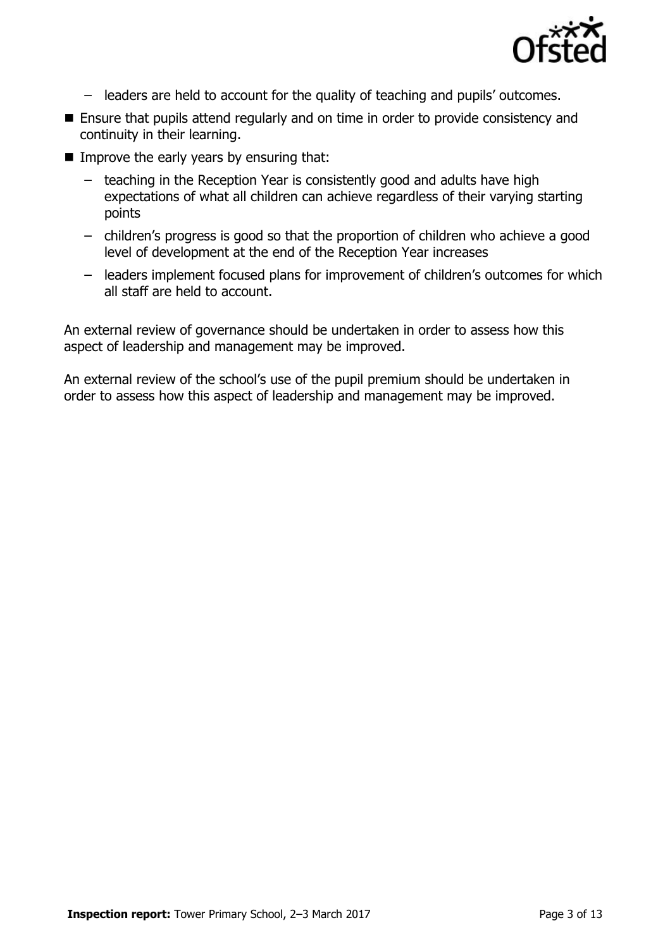

- leaders are held to account for the quality of teaching and pupils' outcomes.
- Ensure that pupils attend regularly and on time in order to provide consistency and continuity in their learning.
- Improve the early years by ensuring that:
	- teaching in the Reception Year is consistently good and adults have high expectations of what all children can achieve regardless of their varying starting points
	- children's progress is good so that the proportion of children who achieve a good level of development at the end of the Reception Year increases
	- leaders implement focused plans for improvement of children's outcomes for which all staff are held to account.

An external review of governance should be undertaken in order to assess how this aspect of leadership and management may be improved.

An external review of the school's use of the pupil premium should be undertaken in order to assess how this aspect of leadership and management may be improved.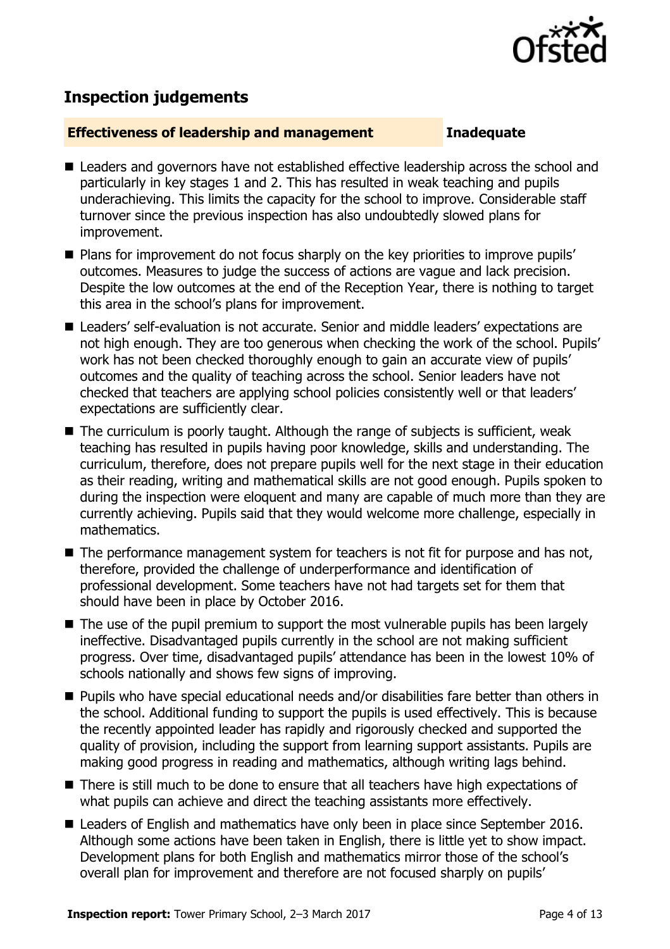

# **Inspection judgements**

### **Effectiveness of leadership and management Inadequate**

- Leaders and governors have not established effective leadership across the school and particularly in key stages 1 and 2. This has resulted in weak teaching and pupils underachieving. This limits the capacity for the school to improve. Considerable staff turnover since the previous inspection has also undoubtedly slowed plans for improvement.
- Plans for improvement do not focus sharply on the key priorities to improve pupils' outcomes. Measures to judge the success of actions are vague and lack precision. Despite the low outcomes at the end of the Reception Year, there is nothing to target this area in the school's plans for improvement.
- Leaders' self-evaluation is not accurate. Senior and middle leaders' expectations are not high enough. They are too generous when checking the work of the school. Pupils' work has not been checked thoroughly enough to gain an accurate view of pupils' outcomes and the quality of teaching across the school. Senior leaders have not checked that teachers are applying school policies consistently well or that leaders' expectations are sufficiently clear.
- The curriculum is poorly taught. Although the range of subjects is sufficient, weak teaching has resulted in pupils having poor knowledge, skills and understanding. The curriculum, therefore, does not prepare pupils well for the next stage in their education as their reading, writing and mathematical skills are not good enough. Pupils spoken to during the inspection were eloquent and many are capable of much more than they are currently achieving. Pupils said that they would welcome more challenge, especially in mathematics.
- $\blacksquare$  The performance management system for teachers is not fit for purpose and has not, therefore, provided the challenge of underperformance and identification of professional development. Some teachers have not had targets set for them that should have been in place by October 2016.
- The use of the pupil premium to support the most vulnerable pupils has been largely ineffective. Disadvantaged pupils currently in the school are not making sufficient progress. Over time, disadvantaged pupils' attendance has been in the lowest 10% of schools nationally and shows few signs of improving.
- **Pupils who have special educational needs and/or disabilities fare better than others in** the school. Additional funding to support the pupils is used effectively. This is because the recently appointed leader has rapidly and rigorously checked and supported the quality of provision, including the support from learning support assistants. Pupils are making good progress in reading and mathematics, although writing lags behind.
- There is still much to be done to ensure that all teachers have high expectations of what pupils can achieve and direct the teaching assistants more effectively.
- Leaders of English and mathematics have only been in place since September 2016. Although some actions have been taken in English, there is little yet to show impact. Development plans for both English and mathematics mirror those of the school's overall plan for improvement and therefore are not focused sharply on pupils'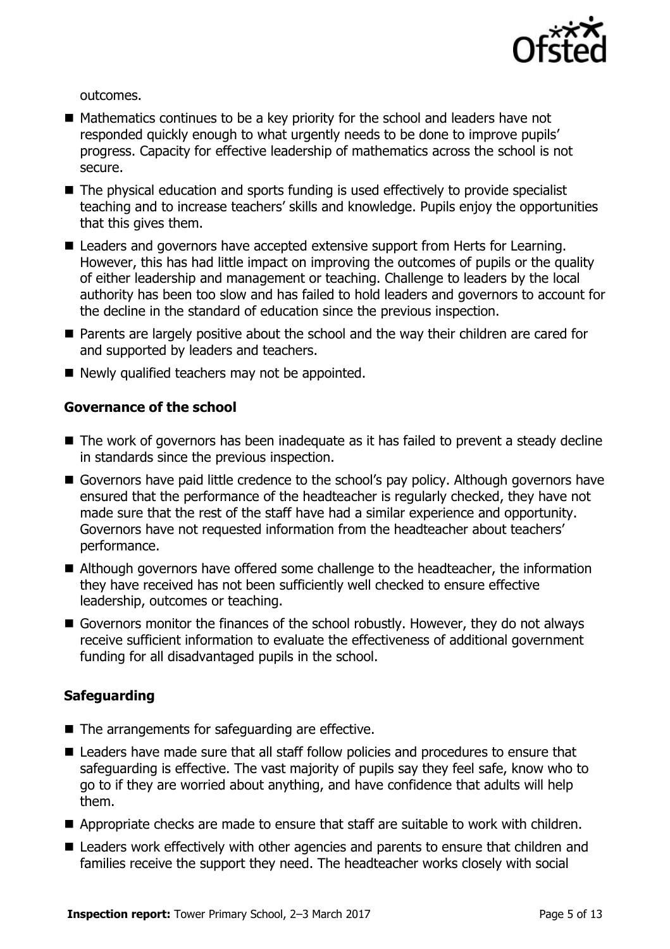

outcomes.

- $\blacksquare$  Mathematics continues to be a key priority for the school and leaders have not responded quickly enough to what urgently needs to be done to improve pupils' progress. Capacity for effective leadership of mathematics across the school is not secure.
- The physical education and sports funding is used effectively to provide specialist teaching and to increase teachers' skills and knowledge. Pupils enjoy the opportunities that this gives them.
- Leaders and governors have accepted extensive support from Herts for Learning. However, this has had little impact on improving the outcomes of pupils or the quality of either leadership and management or teaching. Challenge to leaders by the local authority has been too slow and has failed to hold leaders and governors to account for the decline in the standard of education since the previous inspection.
- **Parents are largely positive about the school and the way their children are cared for** and supported by leaders and teachers.
- Newly qualified teachers may not be appointed.

### **Governance of the school**

- The work of governors has been inadequate as it has failed to prevent a steady decline in standards since the previous inspection.
- Governors have paid little credence to the school's pay policy. Although governors have ensured that the performance of the headteacher is regularly checked, they have not made sure that the rest of the staff have had a similar experience and opportunity. Governors have not requested information from the headteacher about teachers' performance.
- Although governors have offered some challenge to the headteacher, the information they have received has not been sufficiently well checked to ensure effective leadership, outcomes or teaching.
- Governors monitor the finances of the school robustly. However, they do not always receive sufficient information to evaluate the effectiveness of additional government funding for all disadvantaged pupils in the school.

### **Safeguarding**

- The arrangements for safeguarding are effective.
- Leaders have made sure that all staff follow policies and procedures to ensure that safeguarding is effective. The vast majority of pupils say they feel safe, know who to go to if they are worried about anything, and have confidence that adults will help them.
- Appropriate checks are made to ensure that staff are suitable to work with children.
- Leaders work effectively with other agencies and parents to ensure that children and families receive the support they need. The headteacher works closely with social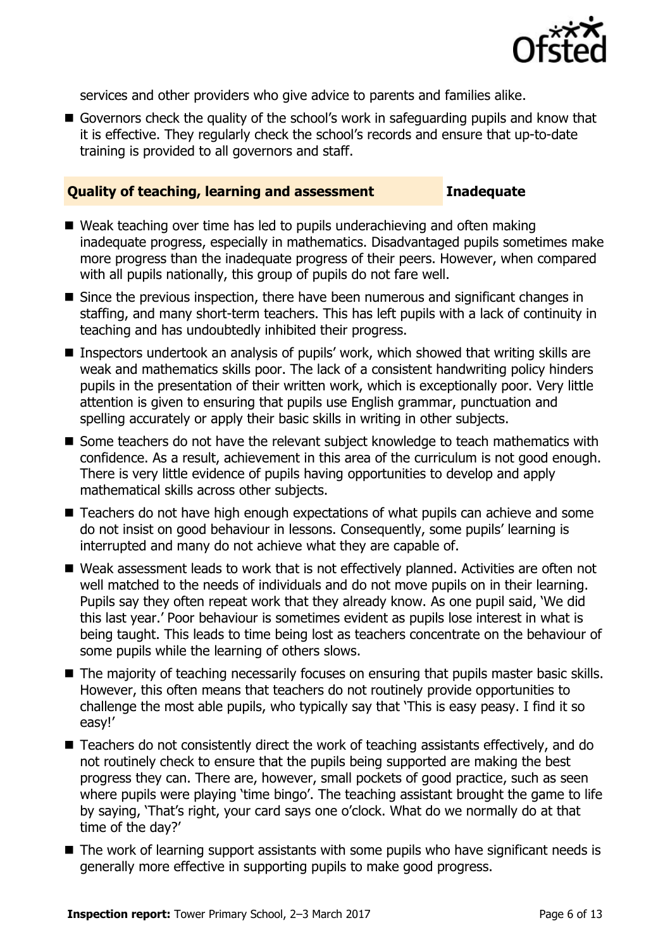

services and other providers who give advice to parents and families alike.

Governors check the quality of the school's work in safeguarding pupils and know that it is effective. They regularly check the school's records and ensure that up-to-date training is provided to all governors and staff.

### **Quality of teaching, learning and assessment Inadequate**

- Weak teaching over time has led to pupils underachieving and often making inadequate progress, especially in mathematics. Disadvantaged pupils sometimes make more progress than the inadequate progress of their peers. However, when compared with all pupils nationally, this group of pupils do not fare well.
- Since the previous inspection, there have been numerous and significant changes in staffing, and many short-term teachers. This has left pupils with a lack of continuity in teaching and has undoubtedly inhibited their progress.
- Inspectors undertook an analysis of pupils' work, which showed that writing skills are weak and mathematics skills poor. The lack of a consistent handwriting policy hinders pupils in the presentation of their written work, which is exceptionally poor. Very little attention is given to ensuring that pupils use English grammar, punctuation and spelling accurately or apply their basic skills in writing in other subjects.
- Some teachers do not have the relevant subject knowledge to teach mathematics with confidence. As a result, achievement in this area of the curriculum is not good enough. There is very little evidence of pupils having opportunities to develop and apply mathematical skills across other subjects.
- Teachers do not have high enough expectations of what pupils can achieve and some do not insist on good behaviour in lessons. Consequently, some pupils' learning is interrupted and many do not achieve what they are capable of.
- Weak assessment leads to work that is not effectively planned. Activities are often not well matched to the needs of individuals and do not move pupils on in their learning. Pupils say they often repeat work that they already know. As one pupil said, 'We did this last year.' Poor behaviour is sometimes evident as pupils lose interest in what is being taught. This leads to time being lost as teachers concentrate on the behaviour of some pupils while the learning of others slows.
- The majority of teaching necessarily focuses on ensuring that pupils master basic skills. However, this often means that teachers do not routinely provide opportunities to challenge the most able pupils, who typically say that 'This is easy peasy. I find it so easy!'
- Teachers do not consistently direct the work of teaching assistants effectively, and do not routinely check to ensure that the pupils being supported are making the best progress they can. There are, however, small pockets of good practice, such as seen where pupils were playing 'time bingo'. The teaching assistant brought the game to life by saying, 'That's right, your card says one o'clock. What do we normally do at that time of the day?'
- The work of learning support assistants with some pupils who have significant needs is generally more effective in supporting pupils to make good progress.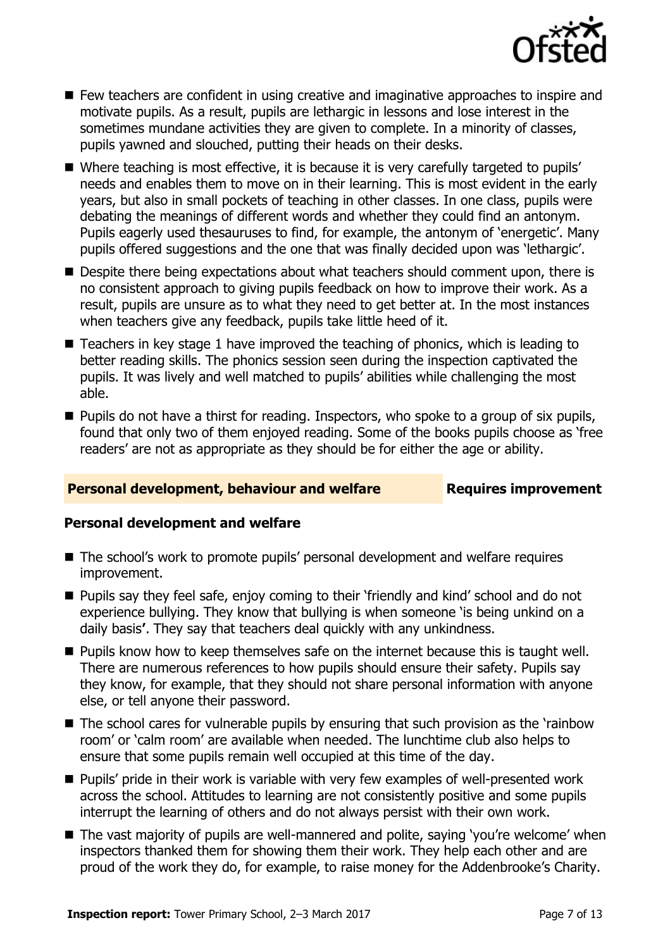

- $\blacksquare$  Few teachers are confident in using creative and imaginative approaches to inspire and motivate pupils. As a result, pupils are lethargic in lessons and lose interest in the sometimes mundane activities they are given to complete. In a minority of classes, pupils yawned and slouched, putting their heads on their desks.
- Where teaching is most effective, it is because it is very carefully targeted to pupils' needs and enables them to move on in their learning. This is most evident in the early years, but also in small pockets of teaching in other classes. In one class, pupils were debating the meanings of different words and whether they could find an antonym. Pupils eagerly used thesauruses to find, for example, the antonym of 'energetic'. Many pupils offered suggestions and the one that was finally decided upon was 'lethargic'.
- **Despite there being expectations about what teachers should comment upon, there is** no consistent approach to giving pupils feedback on how to improve their work. As a result, pupils are unsure as to what they need to get better at. In the most instances when teachers give any feedback, pupils take little heed of it.
- Teachers in key stage 1 have improved the teaching of phonics, which is leading to better reading skills. The phonics session seen during the inspection captivated the pupils. It was lively and well matched to pupils' abilities while challenging the most able.
- **Pupils do not have a thirst for reading. Inspectors, who spoke to a group of six pupils,** found that only two of them enjoyed reading. Some of the books pupils choose as 'free readers' are not as appropriate as they should be for either the age or ability.

### **Personal development, behaviour and welfare Fig. 2.1 Requires improvement**

### **Personal development and welfare**

- The school's work to promote pupils' personal development and welfare requires improvement.
- **Pupils say they feel safe, enjoy coming to their 'friendly and kind' school and do not** experience bullying. They know that bullying is when someone 'is being unkind on a daily basis**'**. They say that teachers deal quickly with any unkindness.
- $\blacksquare$  Pupils know how to keep themselves safe on the internet because this is taught well. There are numerous references to how pupils should ensure their safety. Pupils say they know, for example, that they should not share personal information with anyone else, or tell anyone their password.
- The school cares for vulnerable pupils by ensuring that such provision as the 'rainbow room' or 'calm room' are available when needed. The lunchtime club also helps to ensure that some pupils remain well occupied at this time of the day.
- **Pupils'** pride in their work is variable with very few examples of well-presented work across the school. Attitudes to learning are not consistently positive and some pupils interrupt the learning of others and do not always persist with their own work.
- The vast majority of pupils are well-mannered and polite, saying 'you're welcome' when inspectors thanked them for showing them their work. They help each other and are proud of the work they do, for example, to raise money for the Addenbrooke's Charity.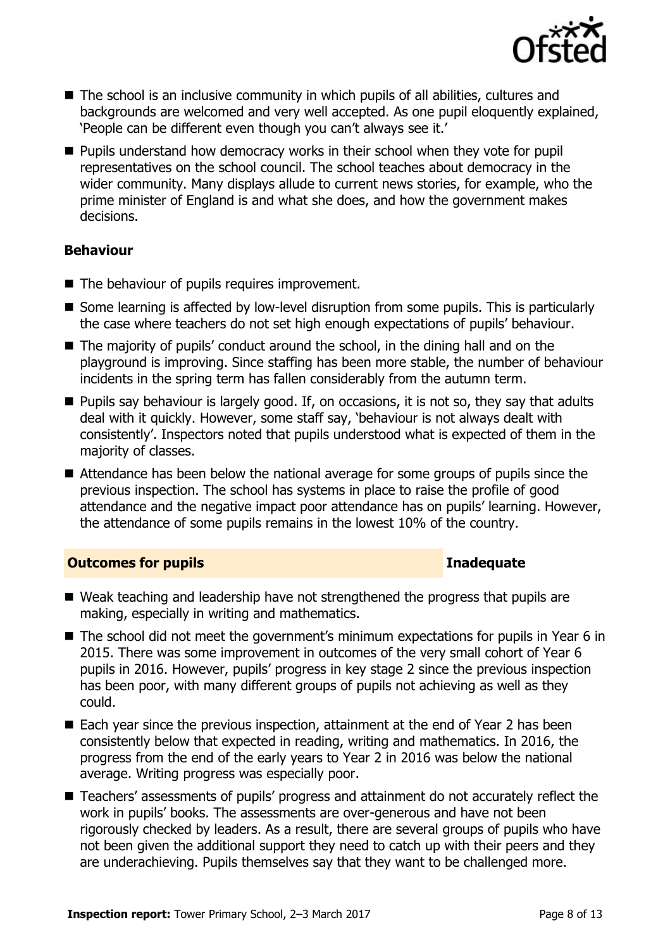

- The school is an inclusive community in which pupils of all abilities, cultures and backgrounds are welcomed and very well accepted. As one pupil eloquently explained, 'People can be different even though you can't always see it.'
- **Pupils understand how democracy works in their school when they vote for pupil** representatives on the school council. The school teaches about democracy in the wider community. Many displays allude to current news stories, for example, who the prime minister of England is and what she does, and how the government makes decisions.

### **Behaviour**

- The behaviour of pupils requires improvement.
- Some learning is affected by low-level disruption from some pupils. This is particularly the case where teachers do not set high enough expectations of pupils' behaviour.
- The majority of pupils' conduct around the school, in the dining hall and on the playground is improving. Since staffing has been more stable, the number of behaviour incidents in the spring term has fallen considerably from the autumn term.
- **Pupils say behaviour is largely good. If, on occasions, it is not so, they say that adults** deal with it quickly. However, some staff say, 'behaviour is not always dealt with consistently'. Inspectors noted that pupils understood what is expected of them in the majority of classes.
- Attendance has been below the national average for some groups of pupils since the previous inspection. The school has systems in place to raise the profile of good attendance and the negative impact poor attendance has on pupils' learning. However, the attendance of some pupils remains in the lowest 10% of the country.

### **Outcomes for pupils Inadequate**

- Weak teaching and leadership have not strengthened the progress that pupils are making, especially in writing and mathematics.
- The school did not meet the government's minimum expectations for pupils in Year 6 in 2015. There was some improvement in outcomes of the very small cohort of Year 6 pupils in 2016. However, pupils' progress in key stage 2 since the previous inspection has been poor, with many different groups of pupils not achieving as well as they could.
- Each year since the previous inspection, attainment at the end of Year 2 has been consistently below that expected in reading, writing and mathematics. In 2016, the progress from the end of the early years to Year 2 in 2016 was below the national average. Writing progress was especially poor.
- Teachers' assessments of pupils' progress and attainment do not accurately reflect the work in pupils' books. The assessments are over-generous and have not been rigorously checked by leaders. As a result, there are several groups of pupils who have not been given the additional support they need to catch up with their peers and they are underachieving. Pupils themselves say that they want to be challenged more.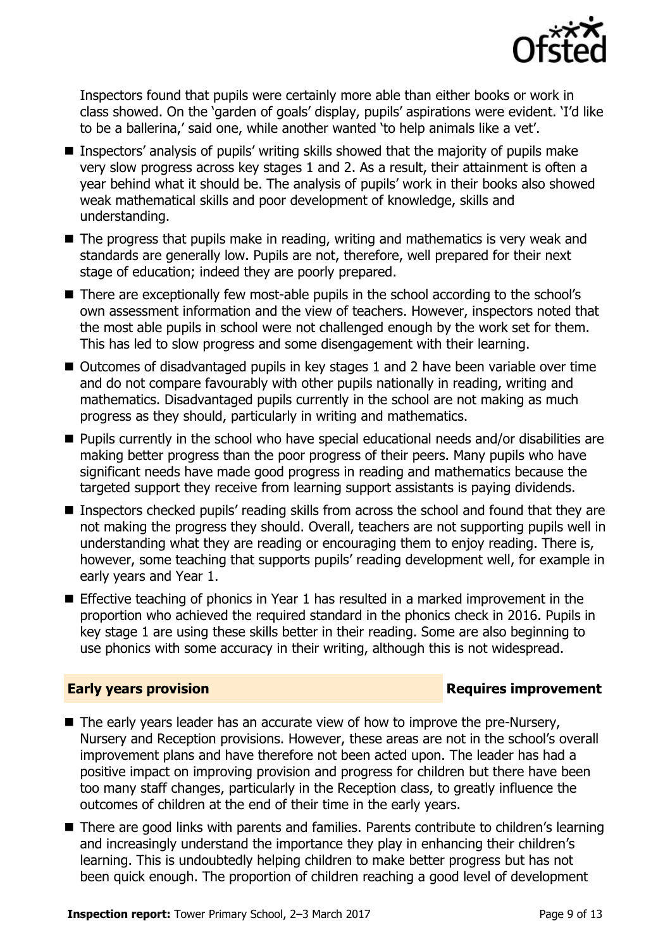

Inspectors found that pupils were certainly more able than either books or work in class showed. On the 'garden of goals' display, pupils' aspirations were evident. 'I'd like to be a ballerina,' said one, while another wanted 'to help animals like a vet'.

- Inspectors' analysis of pupils' writing skills showed that the majority of pupils make very slow progress across key stages 1 and 2. As a result, their attainment is often a year behind what it should be. The analysis of pupils' work in their books also showed weak mathematical skills and poor development of knowledge, skills and understanding.
- The progress that pupils make in reading, writing and mathematics is very weak and standards are generally low. Pupils are not, therefore, well prepared for their next stage of education; indeed they are poorly prepared.
- There are exceptionally few most-able pupils in the school according to the school's own assessment information and the view of teachers. However, inspectors noted that the most able pupils in school were not challenged enough by the work set for them. This has led to slow progress and some disengagement with their learning.
- Outcomes of disadvantaged pupils in key stages 1 and 2 have been variable over time and do not compare favourably with other pupils nationally in reading, writing and mathematics. Disadvantaged pupils currently in the school are not making as much progress as they should, particularly in writing and mathematics.
- Pupils currently in the school who have special educational needs and/or disabilities are making better progress than the poor progress of their peers. Many pupils who have significant needs have made good progress in reading and mathematics because the targeted support they receive from learning support assistants is paying dividends.
- Inspectors checked pupils' reading skills from across the school and found that they are not making the progress they should. Overall, teachers are not supporting pupils well in understanding what they are reading or encouraging them to enjoy reading. There is, however, some teaching that supports pupils' reading development well, for example in early years and Year 1.
- Effective teaching of phonics in Year 1 has resulted in a marked improvement in the proportion who achieved the required standard in the phonics check in 2016. Pupils in key stage 1 are using these skills better in their reading. Some are also beginning to use phonics with some accuracy in their writing, although this is not widespread.

### **Early years provision**

- $\blacksquare$  The early years leader has an accurate view of how to improve the pre-Nursery, Nursery and Reception provisions. However, these areas are not in the school's overall improvement plans and have therefore not been acted upon. The leader has had a positive impact on improving provision and progress for children but there have been too many staff changes, particularly in the Reception class, to greatly influence the outcomes of children at the end of their time in the early years.
- There are good links with parents and families. Parents contribute to children's learning and increasingly understand the importance they play in enhancing their children's learning. This is undoubtedly helping children to make better progress but has not been quick enough. The proportion of children reaching a good level of development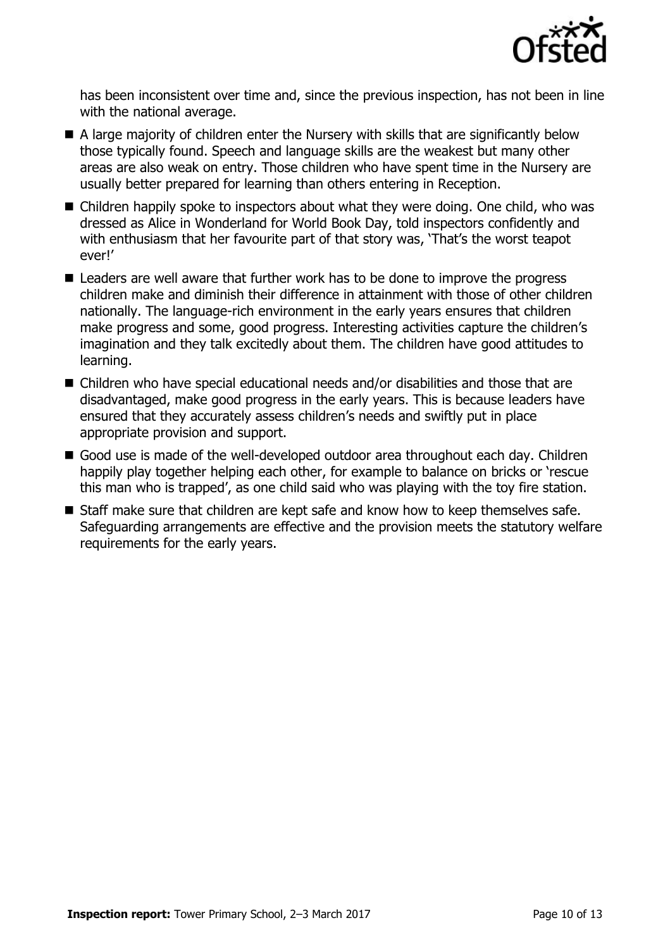

has been inconsistent over time and, since the previous inspection, has not been in line with the national average.

- A large majority of children enter the Nursery with skills that are significantly below those typically found. Speech and language skills are the weakest but many other areas are also weak on entry. Those children who have spent time in the Nursery are usually better prepared for learning than others entering in Reception.
- Children happily spoke to inspectors about what they were doing. One child, who was dressed as Alice in Wonderland for World Book Day, told inspectors confidently and with enthusiasm that her favourite part of that story was, 'That's the worst teapot ever!'
- Leaders are well aware that further work has to be done to improve the progress children make and diminish their difference in attainment with those of other children nationally. The language-rich environment in the early years ensures that children make progress and some, good progress. Interesting activities capture the children's imagination and they talk excitedly about them. The children have good attitudes to learning.
- Children who have special educational needs and/or disabilities and those that are disadvantaged, make good progress in the early years. This is because leaders have ensured that they accurately assess children's needs and swiftly put in place appropriate provision and support.
- Good use is made of the well-developed outdoor area throughout each day. Children happily play together helping each other, for example to balance on bricks or 'rescue this man who is trapped', as one child said who was playing with the toy fire station.
- Staff make sure that children are kept safe and know how to keep themselves safe. Safeguarding arrangements are effective and the provision meets the statutory welfare requirements for the early years.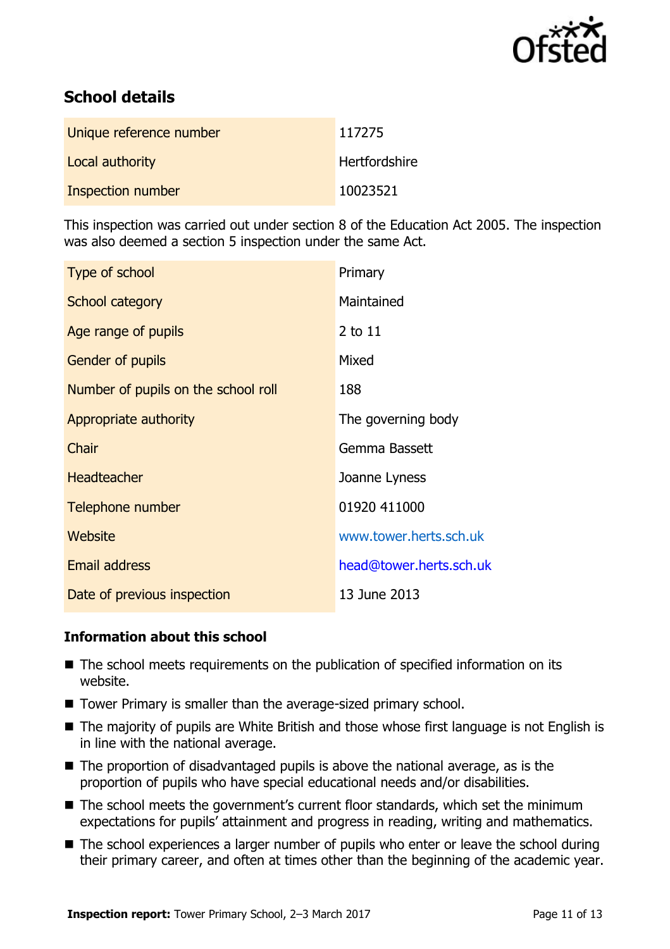

# **School details**

| Unique reference number | 117275               |
|-------------------------|----------------------|
| Local authority         | <b>Hertfordshire</b> |
| Inspection number       | 10023521             |

This inspection was carried out under section 8 of the Education Act 2005. The inspection was also deemed a section 5 inspection under the same Act.

| Type of school                      | Primary                 |
|-------------------------------------|-------------------------|
| School category                     | Maintained              |
| Age range of pupils                 | 2 to 11                 |
| Gender of pupils                    | Mixed                   |
| Number of pupils on the school roll | 188                     |
| Appropriate authority               | The governing body      |
| Chair                               | Gemma Bassett           |
| <b>Headteacher</b>                  | Joanne Lyness           |
| Telephone number                    | 01920 411000            |
| Website                             | www.tower.herts.sch.uk  |
| <b>Email address</b>                | head@tower.herts.sch.uk |
| Date of previous inspection         | 13 June 2013            |

### **Information about this school**

- The school meets requirements on the publication of specified information on its website.
- Tower Primary is smaller than the average-sized primary school.
- The majority of pupils are White British and those whose first language is not English is in line with the national average.
- $\blacksquare$  The proportion of disadvantaged pupils is above the national average, as is the proportion of pupils who have special educational needs and/or disabilities.
- The school meets the government's current floor standards, which set the minimum expectations for pupils' attainment and progress in reading, writing and mathematics.
- The school experiences a larger number of pupils who enter or leave the school during their primary career, and often at times other than the beginning of the academic year.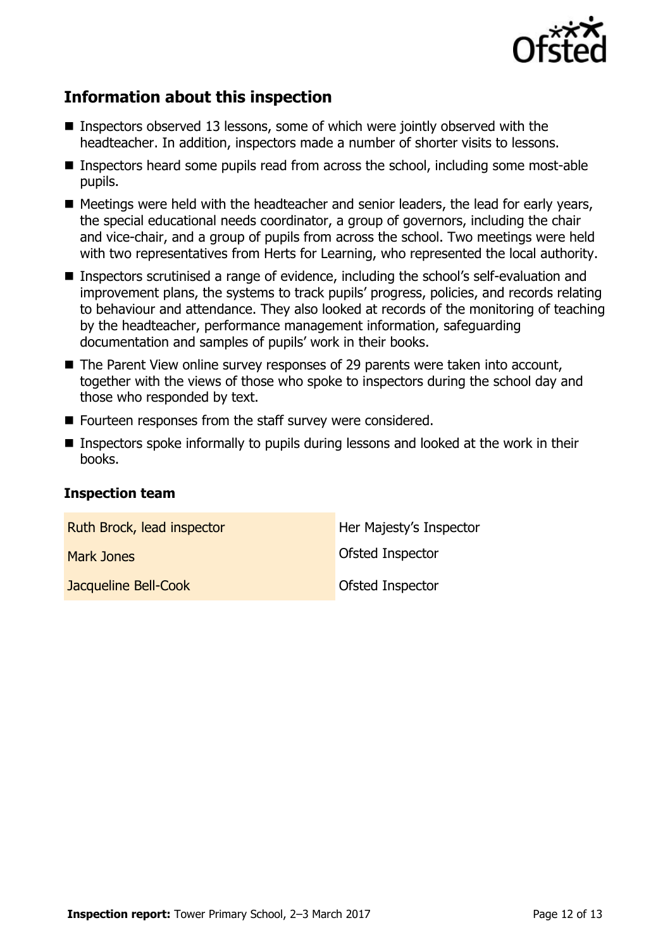

# **Information about this inspection**

- **Inspectors observed 13 lessons, some of which were jointly observed with the** headteacher. In addition, inspectors made a number of shorter visits to lessons.
- Inspectors heard some pupils read from across the school, including some most-able pupils.
- Meetings were held with the headteacher and senior leaders, the lead for early years, the special educational needs coordinator, a group of governors, including the chair and vice-chair, and a group of pupils from across the school. Two meetings were held with two representatives from Herts for Learning, who represented the local authority.
- Inspectors scrutinised a range of evidence, including the school's self-evaluation and improvement plans, the systems to track pupils' progress, policies, and records relating to behaviour and attendance. They also looked at records of the monitoring of teaching by the headteacher, performance management information, safeguarding documentation and samples of pupils' work in their books.
- The Parent View online survey responses of 29 parents were taken into account, together with the views of those who spoke to inspectors during the school day and those who responded by text.
- Fourteen responses from the staff survey were considered.
- **Inspectors spoke informally to pupils during lessons and looked at the work in their** books.

### **Inspection team**

| Ruth Brock, lead inspector | Her Majesty's Inspector |
|----------------------------|-------------------------|
| Mark Jones                 | Ofsted Inspector        |
| Jacqueline Bell-Cook       | Ofsted Inspector        |